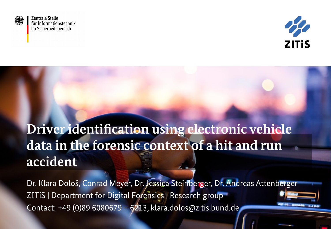

**Zentrale Stelle** für Informationstechnik im Sicherheitsbereich



## **Driver identification using electronic vehicle data in the forensic context of a hit and run accident**

Dr. Klara Dološ, Conrad Meyer, Dr. Jessica Steinberger, Dr. Andreas Attenberger ZITiS | Department for Digital Forensics | Research group Contact: +49 (0)89 6080679 – 6213, klara.dolos@zitis.bund.de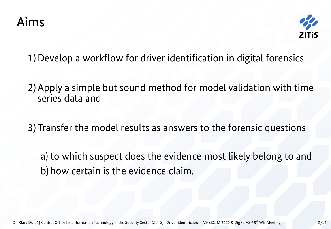

1)Develop a workflow for driver identification in digital forensics

- 2)Apply a simple but sound method for model validation with time series data and
- 3) Transfer the model results as answers to the forensic questions
	- a) to which suspect does the evidence most likely belong to and b) how certain is the evidence claim.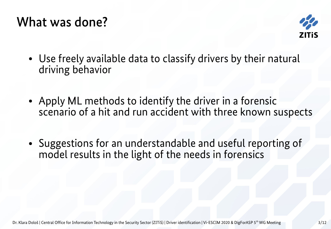### What was done?



- Use freely available data to classify drivers by their natural driving behavior
- Apply ML methods to identify the driver in a forensic scenario of a hit and run accident with three known suspects
- Suggestions for an understandable and useful reporting of model results in the light of the needs in forensics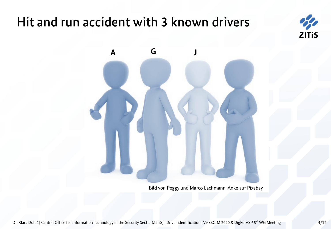## Hit and run accident with 3 known drivers





Bild von Peggy und Marco Lachmann-Anke auf Pixabay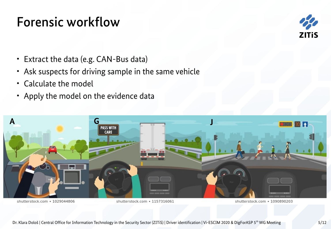## Forensic workflow



- Extract the data (e.g. CAN-Bus data)
- Ask suspects for driving sample in the same vehicle
- Calculate the model
- Apply the model on the evidence data



shutterstock.com · 1029044806

shutterstock.com · 1157316061

shutterstock.com · 1090890203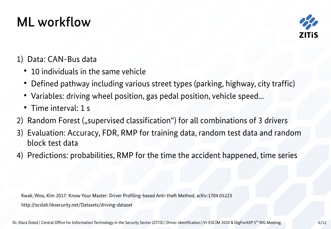## ML workflow



#### 1) Data: CAN-Bus data

- 10 individuals in the same vehicle
- Defined pathway including various street types (parking, highway, city traffic)
- Variables: driving wheel position, gas pedal position, vehicle speed...
- Time interval: 1 s
- 2) Random Forest ("supervised classification") for all combinations of 3 drivers
- 3) Evaluation: Accuracy, FDR, RMP for training data, random test data and random block test data
- 4) Predictions: probabilities, RMP for the time the accident happened, time series

Kwak, Woo, Kim 2017: Know Your Master: Driver Profiling-based Anti-theft Method, arXiv:1704.05223 http://ocslab.hksecurity.net/Datasets/driving-dataset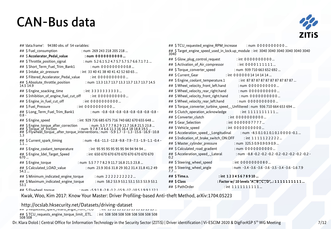#### CAN-Bus data

**Afo**<br>ZITis

| ## 'data.frame': 94380 obs. of 54 variables:                                                                                                            | ## \$TCU_requested_engine_RPM_increase<br>: num $0000000000$                                                                            |  |  |  |
|---------------------------------------------------------------------------------------------------------------------------------------------------------|-----------------------------------------------------------------------------------------------------------------------------------------|--|--|--|
| ## \$ Fuel consumption<br>: num 269 243 218 205 218                                                                                                     | ## \$Target_engine_speed_used_in_lock.up_module : int 3040 3040 3040 3040 3040 3040<br>3040                                             |  |  |  |
| ## \$ Accelerator Pedal value<br>: num 0000000000                                                                                                       | : int $0000000000$                                                                                                                      |  |  |  |
| ## \$Throttle position signal<br>: num 5.2 6.1 5.2 4.7 5.7 5.7 5.7 6.6 7.1 7.1                                                                          | ## \$ Glow plug control request<br>## \$ Activation_of_Air_compressor<br>: int $0000111111$                                             |  |  |  |
| ## \$ Short Term Fuel Trim Bank1<br>$:$ num 0000000000.8                                                                                                | ## \$Torque_converter_speed<br>: num 939 710 663 652 692<br>: int 000000014141414                                                       |  |  |  |
| ## \$ Intake_air_pressure<br>: int 33 40 41 38 40 41 42 52 60 65                                                                                        |                                                                                                                                         |  |  |  |
| ## \$ Filtered Accelerator Pedal value<br>$:$ int 0000000000                                                                                            | ## \$ Current_Gear                                                                                                                      |  |  |  |
| ## \$ Absolute_throttle_position<br>: num 13.3 13.7 13.7 13.3 13.7 13.7 13.7 14.5<br>14.5 14.9                                                          | ## \$ Engine_coolant_temperature.1<br>: int 87 87 87 87 87 87 87 87 87 87<br>## \$ Wheel velocity front left.hand<br>: num $0000000000$ |  |  |  |
| ## \$ Engine_soacking_time<br>: int $3333333333$                                                                                                        | ## \$ Wheel_velocity_rear_right.hand<br>: num $0000000000$                                                                              |  |  |  |
| ## \$ Inhibition_of_engine_fuel_cut_off<br>$:$ int 0000000000                                                                                           | ## \$ Wheel velocity front right.hand<br>: num $0000000000$                                                                             |  |  |  |
| ## \$ Engine_in_fuel_cut_off<br>: int $0000000000$                                                                                                      | ## \$ Wheel_velocity_rear_left.hand<br>: num 0000000000                                                                                 |  |  |  |
| ## \$ Fuel Pressure<br>: int $0000000000$                                                                                                               | ## \$ Torque_converter_turbine_speed_. Unfiltered : num 936 710 664 653 694                                                             |  |  |  |
| ## \$ Long_Term_Fuel_Trim_Bank1<br>0.8 -                                                                                                                | ## \$ Clutch_operation_acknowledge<br>: int $1111111111$<br>## \$ Converter_clutch<br>: int $0000000000$                                |  |  |  |
| ## \$ Engine_speed<br>: int 929 726 685 675 716 740 682 670 655 648                                                                                     | ## \$ Gear_Selection<br>: int $0000007777$                                                                                              |  |  |  |
| ## \$ Engine_torque_after_correction<br>## \$ Torque_of_friction<br>: num 5.5 7 7 7 8.2 9 11.7 16.8 21.5 23.8                                           | ## \$ Vehicle speed<br>: int $0000000000$                                                                                               |  |  |  |
| ## S Torque_of_friction - 1.0.0 1.1.1 10.0 21.3 23.0<br>## S Flywheel_torque_after_torque_interventions.: num -5.9 1.7 -3 -1.3 -15.6 -16.9 -10.8<br>1.3 | ## \$ Acceleration speed . Longitudinal<br>: num $-8.50.10.10.10.100000$ -0.1                                                           |  |  |  |
| : num -8.6 -11.3 -12.8 -9.8 -7.9 -7.5 -1.9 -1.1 -0.4 -                                                                                                  | ## \$ Indication_of_brake_switch_ON.OFF<br>: int $1111122222$                                                                           |  |  |  |
| ## \$ Current_spark_timing<br>1.1                                                                                                                       | ## \$ Master_cylinder_pressure<br>: num $325.50.90.90.90.9$                                                                             |  |  |  |
| ## \$ Engine coolant temperature<br>: int 95 95 95 95 95 95 94 94 94 94                                                                                 | ## \$ Calculated_road_gradient<br>: num $0000000000$                                                                                    |  |  |  |
| : int 650 670 670 670 670 670 670 670 670<br>## \$ Engine_Idel_Target_Speed<br>670                                                                      | ## \$ Acceleration_speed _ Lateral<br>0.2                                                                                               |  |  |  |
| ## \$ Engine_torque<br>: num 5.5 7 7 7 8.2 9 11.7 16.8 21.5 23.8                                                                                        | ## \$ Steering wheel speed<br>: int $0000000080$                                                                                        |  |  |  |
| ## \$ Calculated_LOAD_value<br>54.1<br>: num 23.9 30.6 31.8 29 30.2 31.4 31.8 41.2 49                                                                   | ## \$ Steering_wheel_angle<br>: num -3.4 -3.6 -3.6 -3.6 -3.5 -3.4 -3.6 -1.6 7.9<br>7.7                                                  |  |  |  |
| ## \$ Minimum_indicated_engine_torque<br>: num $222222222$                                                                                              | ## \$ Time.s.<br>: int $12345678910$                                                                                                    |  |  |  |
| ## \$ Maximum_indicated_engine_torque<br>53.1<br>: num 58.2 53.9 53.1 53.1 53.5 53.9 53.1                                                               | ## \$ Class<br>: Factor w/ 10 levels "A","B","C","D",: 1 1 1 1 1 1 1 1 1 1 1                                                            |  |  |  |
| ## S Flywheel torgue<br>$\cdot$ num -5918-28-12-159-17-1051991121                                                                                       | : int 1111111111<br>## \$ PathOrder                                                                                                     |  |  |  |

Kwak, Woo, Kim 2017: Know Your Master: Driver Profiling-based Anti-theft Method, arXiv:1704.05223

http://ocslah.hksecurity.net/Datasets/driving-dat http://ocslab.hksecurity.net/Datasets/driving-dataset<br>## جدود عدد عدد عدد عدد عدد عدد الله الله عدد الله عدد الله عليه الله عليه الله عليه الله عليه الله عليه الله

## \$TCU\_requests\_engine\_torque\_limit\_.ETL. : int 508 508 508 508 508 508 508 508<br>508 508

Dr. Klara Dološ | Central Office for Information Technology in the Security Sector (ZITiS) | Driver identification | Vi-ESCIM 2020 & DigForASP 5<sup>th</sup> WG Meeting 7/12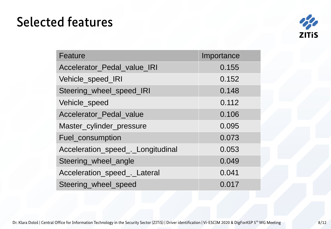## Selected features



| Feature                           | Importance |  |  |
|-----------------------------------|------------|--|--|
| Accelerator Pedal value IRI       | 0.155      |  |  |
| Vehicle speed IRI                 | 0.152      |  |  |
| Steering wheel speed IRI          | 0.148      |  |  |
| Vehicle_speed                     | 0.112      |  |  |
| Accelerator_Pedal_value           | 0.106      |  |  |
| Master_cylinder_pressure          | 0.095      |  |  |
| Fuel consumption                  | 0.073      |  |  |
| Acceleration speed . Longitudinal | 0.053      |  |  |
| Steering wheel angle              | 0.049      |  |  |
| Acceleration speed . Lateral      | 0.041      |  |  |
| Steering wheel speed              | 0.017      |  |  |

Dr. Klara Dološ | Central Office for Information Technology in the Security Sector (ZITiS) | Driver identification | Vi-ESCIM 2020 & DigForASP 5<sup>th</sup> WG Meeting 8/12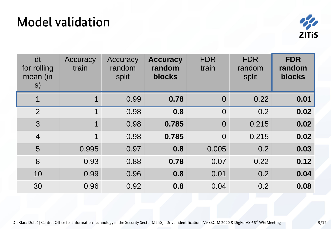## Model validation



| dt<br>for rolling<br>mean (in<br>S) | Accuracy<br>train | Accuracy<br>random<br>split | <b>Accuracy</b><br>random<br>blocks | <b>FDR</b><br>train | <b>FDR</b><br>random<br>split | <b>FDR</b><br>random<br>blocks |
|-------------------------------------|-------------------|-----------------------------|-------------------------------------|---------------------|-------------------------------|--------------------------------|
| $\mathbf 1$                         | $\overline{1}$    | 0.99                        | 0.78                                | $\overline{0}$      | 0.22                          | 0.01                           |
| $\overline{2}$                      | $\overline{1}$    | 0.98                        | 0.8                                 | $\overline{0}$      | 0.2                           | 0.02                           |
| 3                                   | $\mathbf{1}$      | 0.98                        | 0.785                               | $\overline{0}$      | 0.215                         | 0.02                           |
| $\overline{4}$                      | $\mathbf{1}$      | 0.98                        | 0.785                               | $\overline{0}$      | 0.215                         | 0.02                           |
| 5                                   | 0.995             | 0.97                        | 0.8                                 | 0.005               | 0.2                           | 0.03                           |
| 8                                   | 0.93              | 0.88                        | 0.78                                | 0.07                | 0.22                          | 0.12                           |
| 10                                  | 0.99              | 0.96                        | 0.8                                 | 0.01                | 0.2                           | 0.04                           |
| 30                                  | 0.96              | 0.92                        | 0.8                                 | 0.04                | 0.2                           | 0.08                           |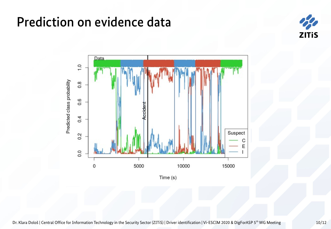## Prediction on evidence data



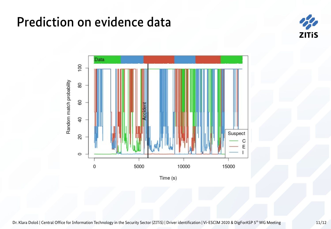## Prediction on evidence data